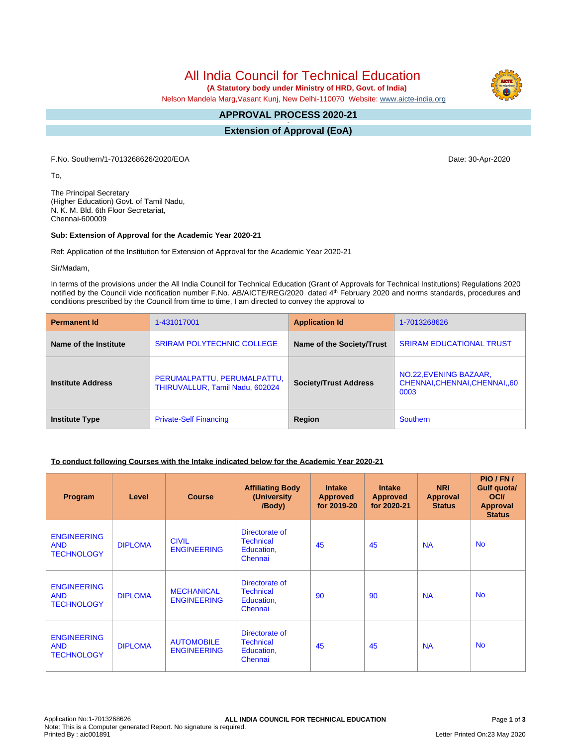All India Council for Technical Education

 **(A Statutory body under Ministry of HRD, Govt. of India)**

Nelson Mandela Marg,Vasant Kunj, New Delhi-110070 Website: [www.aicte-india.org](http://www.aicte-india.org)

#### **APPROVAL PROCESS 2020-21 -**

**Extension of Approval (EoA)**

F.No. Southern/1-7013268626/2020/EOA Date: 30-Apr-2020

To,

The Principal Secretary (Higher Education) Govt. of Tamil Nadu, N. K. M. Bld. 6th Floor Secretariat, Chennai-600009

#### **Sub: Extension of Approval for the Academic Year 2020-21**

Ref: Application of the Institution for Extension of Approval for the Academic Year 2020-21

Sir/Madam,

In terms of the provisions under the All India Council for Technical Education (Grant of Approvals for Technical Institutions) Regulations 2020 notified by the Council vide notification number F.No. AB/AICTE/REG/2020 dated 4<sup>th</sup> February 2020 and norms standards, procedures and conditions prescribed by the Council from time to time, I am directed to convey the approval to

| <b>Permanent Id</b>      | 1-431017001                                                    | <b>Application Id</b>        | 1-7013268626                                                    |  |
|--------------------------|----------------------------------------------------------------|------------------------------|-----------------------------------------------------------------|--|
| Name of the Institute    | <b>SRIRAM POLYTECHNIC COLLEGE</b>                              | Name of the Society/Trust    | <b>SRIRAM EDUCATIONAL TRUST</b>                                 |  |
| <b>Institute Address</b> | PERUMALPATTU, PERUMALPATTU,<br>THIRUVALLUR, Tamil Nadu, 602024 | <b>Society/Trust Address</b> | NO.22, EVENING BAZAAR,<br>CHENNAI, CHENNAI, CHENNAI, 60<br>0003 |  |
| <b>Institute Type</b>    | <b>Private-Self Financing</b>                                  | Region                       | <b>Southern</b>                                                 |  |

## **To conduct following Courses with the Intake indicated below for the Academic Year 2020-21**

| Program                                               | Level          | <b>Course</b>                           | <b>Affiliating Body</b><br>(University<br>/Body)            | <b>Intake</b><br><b>Approved</b><br>for 2019-20 | <b>Intake</b><br><b>Approved</b><br>for 2020-21 | <b>NRI</b><br>Approval<br><b>Status</b> | PIO/FN/<br><b>Gulf quotal</b><br><b>OCI</b><br><b>Approval</b><br><b>Status</b> |
|-------------------------------------------------------|----------------|-----------------------------------------|-------------------------------------------------------------|-------------------------------------------------|-------------------------------------------------|-----------------------------------------|---------------------------------------------------------------------------------|
| <b>ENGINEERING</b><br><b>AND</b><br><b>TECHNOLOGY</b> | <b>DIPLOMA</b> | <b>CIVIL</b><br><b>ENGINEERING</b>      | Directorate of<br><b>Technical</b><br>Education,<br>Chennai | 45                                              | 45                                              | <b>NA</b>                               | <b>No</b>                                                                       |
| <b>ENGINEERING</b><br><b>AND</b><br><b>TECHNOLOGY</b> | <b>DIPLOMA</b> | <b>MECHANICAL</b><br><b>ENGINEERING</b> | Directorate of<br><b>Technical</b><br>Education,<br>Chennai | 90                                              | 90                                              | <b>NA</b>                               | <b>No</b>                                                                       |
| <b>ENGINEERING</b><br><b>AND</b><br><b>TECHNOLOGY</b> | <b>DIPLOMA</b> | <b>AUTOMOBILE</b><br><b>ENGINEERING</b> | Directorate of<br><b>Technical</b><br>Education,<br>Chennai | 45                                              | 45                                              | <b>NA</b>                               | <b>No</b>                                                                       |

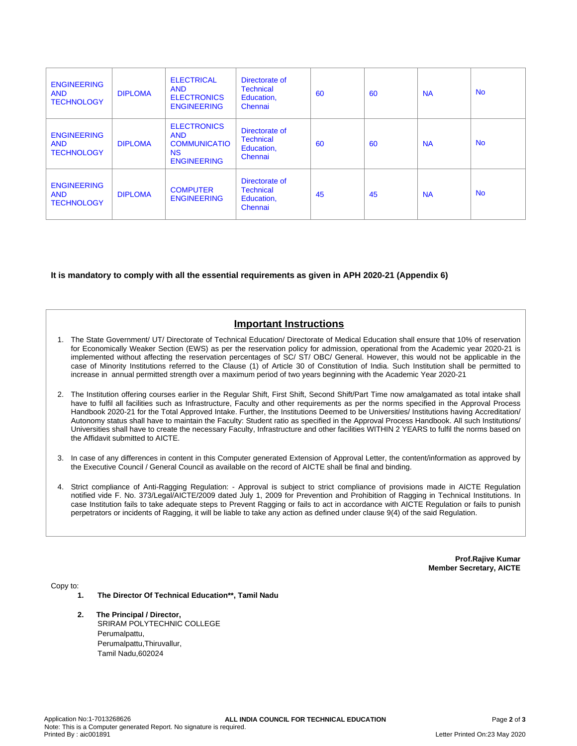| <b>ENGINEERING</b><br><b>AND</b><br><b>TECHNOLOGY</b> | <b>DIPLOMA</b> | <b>ELECTRICAL</b><br><b>AND</b><br><b>ELECTRONICS</b><br><b>ENGINEERING</b>                | Directorate of<br><b>Technical</b><br>Education,<br>Chennai | 60 | 60 | <b>NA</b> | <b>No</b> |
|-------------------------------------------------------|----------------|--------------------------------------------------------------------------------------------|-------------------------------------------------------------|----|----|-----------|-----------|
| <b>ENGINEERING</b><br><b>AND</b><br><b>TECHNOLOGY</b> | <b>DIPLOMA</b> | <b>ELECTRONICS</b><br><b>AND</b><br><b>COMMUNICATIO</b><br><b>NS</b><br><b>ENGINEERING</b> | Directorate of<br><b>Technical</b><br>Education,<br>Chennai | 60 | 60 | <b>NA</b> | <b>No</b> |
| <b>ENGINEERING</b><br><b>AND</b><br><b>TECHNOLOGY</b> | <b>DIPLOMA</b> | <b>COMPUTER</b><br><b>ENGINEERING</b>                                                      | Directorate of<br><b>Technical</b><br>Education,<br>Chennai | 45 | 45 | <b>NA</b> | <b>No</b> |

## **It is mandatory to comply with all the essential requirements as given in APH 2020-21 (Appendix 6)**

# **Important Instructions**

- 1. The State Government/ UT/ Directorate of Technical Education/ Directorate of Medical Education shall ensure that 10% of reservation for Economically Weaker Section (EWS) as per the reservation policy for admission, operational from the Academic year 2020-21 is implemented without affecting the reservation percentages of SC/ ST/ OBC/ General. However, this would not be applicable in the case of Minority Institutions referred to the Clause (1) of Article 30 of Constitution of India. Such Institution shall be permitted to increase in annual permitted strength over a maximum period of two years beginning with the Academic Year 2020-21
- 2. The Institution offering courses earlier in the Regular Shift, First Shift, Second Shift/Part Time now amalgamated as total intake shall have to fulfil all facilities such as Infrastructure, Faculty and other requirements as per the norms specified in the Approval Process Handbook 2020-21 for the Total Approved Intake. Further, the Institutions Deemed to be Universities/ Institutions having Accreditation/ Autonomy status shall have to maintain the Faculty: Student ratio as specified in the Approval Process Handbook. All such Institutions/ Universities shall have to create the necessary Faculty, Infrastructure and other facilities WITHIN 2 YEARS to fulfil the norms based on the Affidavit submitted to AICTE.
- 3. In case of any differences in content in this Computer generated Extension of Approval Letter, the content/information as approved by the Executive Council / General Council as available on the record of AICTE shall be final and binding.
- 4. Strict compliance of Anti-Ragging Regulation: Approval is subject to strict compliance of provisions made in AICTE Regulation notified vide F. No. 373/Legal/AICTE/2009 dated July 1, 2009 for Prevention and Prohibition of Ragging in Technical Institutions. In case Institution fails to take adequate steps to Prevent Ragging or fails to act in accordance with AICTE Regulation or fails to punish perpetrators or incidents of Ragging, it will be liable to take any action as defined under clause 9(4) of the said Regulation.

**Prof.Rajive Kumar Member Secretary, AICTE**

Copy to:

- **1. The Director Of Technical Education\*\*, Tamil Nadu**
- **2. The Principal / Director,** SRIRAM POLYTECHNIC COLLEGE Perumalpattu, Perumalpattu,Thiruvallur, Tamil Nadu,602024